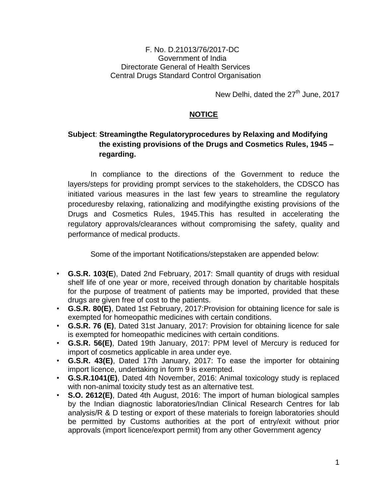## F. No. D.21013/76/2017-DC Government of India Directorate General of Health Services Central Drugs Standard Control Organisation

New Delhi, dated the 27<sup>th</sup> June, 2017

## **NOTICE**

## **Subject**: **Streamingthe Regulatoryprocedures by Relaxing and Modifying the existing provisions of the Drugs and Cosmetics Rules, 1945 – regarding.**

In compliance to the directions of the Government to reduce the layers/steps for providing prompt services to the stakeholders, the CDSCO has initiated various measures in the last few years to streamline the regulatory proceduresby relaxing, rationalizing and modifyingthe existing provisions of the Drugs and Cosmetics Rules, 1945.This has resulted in accelerating the regulatory approvals/clearances without compromising the safety, quality and performance of medical products.

Some of the important Notifications/stepstaken are appended below:

- **G.S.R. 103(E**), Dated 2nd February, 2017: Small quantity of drugs with residual shelf life of one year or more, received through donation by charitable hospitals for the purpose of treatment of patients may be imported, provided that these drugs are given free of cost to the patients.
- **G.S.R. 80(E)**, Dated 1st February, 2017:Provision for obtaining licence for sale is exempted for homeopathic medicines with certain conditions.
- **G.S.R. 76 (E)**, Dated 31st January, 2017: Provision for obtaining licence for sale is exempted for homeopathic medicines with certain conditions.
- **G.S.R. 56(E)**, Dated 19th January, 2017: PPM level of Mercury is reduced for import of cosmetics applicable in area under eye.
- **G.S.R. 43(E)**, Dated 17th January, 2017: To ease the importer for obtaining import licence, undertaking in form 9 is exempted.
- **G.S.R.1041(E)**, Dated 4th November, 2016: Animal toxicology study is replaced with non-animal toxicity study test as an alternative test.
- **S.O. 2612(E)**, Dated 4th August, 2016: The import of human biological samples by the Indian diagnostic laboratories/Indian Clinical Research Centres for lab analysis/R & D testing or export of these materials to foreign laboratories should be permitted by Customs authorities at the port of entry/exit without prior approvals (import licence/export permit) from any other Government agency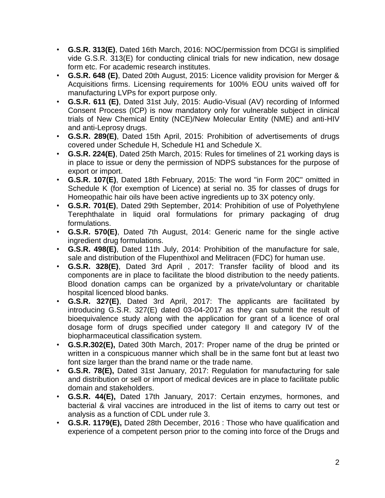- **G.S.R. 313(E)**, Dated 16th March, 2016: NOC/permission from DCGI is simplified vide G.S.R. 313(E) for conducting clinical trials for new indication, new dosage form etc. For academic research institutes.
- **G.S.R. 648 (E)**, Dated 20th August, 2015: Licence validity provision for Merger & Acquisitions firms. Licensing requirements for 100% EOU units waived off for manufacturing LVPs for export purpose only.
- **G.S.R. 611 (E)**, Dated 31st July, 2015: Audio-Visual (AV) recording of Informed Consent Process (ICP) is now mandatory only for vulnerable subject in clinical trials of New Chemical Entity (NCE)/New Molecular Entity (NME) and anti-HIV and anti-Leprosy drugs.
- **G.S.R. 289(E)**, Dated 15th April, 2015: Prohibition of advertisements of drugs covered under Schedule H, Schedule H1 and Schedule X.
- **G.S.R. 224(E)**, Dated 25th March, 2015: Rules for timelines of 21 working days is in place to issue or deny the permission of NDPS substances for the purpose of export or import.
- **G.S.R. 107(E)**, Dated 18th February, 2015: The word "in Form 20C" omitted in Schedule K (for exemption of Licence) at serial no. 35 for classes of drugs for Homeopathic hair oils have been active ingredients up to 3X potency only.
- **G.S.R. 701(E)**, Dated 29th September, 2014: Prohibition of use of Polyethylene Terephthalate in liquid oral formulations for primary packaging of drug formulations.
- **G.S.R. 570(E)**, Dated 7th August, 2014: Generic name for the single active ingredient drug formulations.
- **G.S.R. 498(E)**, Dated 11th July, 2014: Prohibition of the manufacture for sale, sale and distribution of the Flupenthixol and Melitracen (FDC) for human use.
- **G.S.R. 328(E)**, Dated 3rd April , 2017: Transfer facility of blood and its components are in place to facilitate the blood distribution to the needy patients. Blood donation camps can be organized by a private/voluntary or charitable hospital licenced blood banks.
- **G.S.R. 327(E)**, Dated 3rd April, 2017: The applicants are facilitated by introducing G.S.R. 327(E) dated 03-04-2017 as they can submit the result of bioequivalence study along with the application for grant of a licence of oral dosage form of drugs specified under category II and category IV of the biopharmaceutical classification system.
- **G.S.R.302(E),** Dated 30th March, 2017: Proper name of the drug be printed or written in a conspicuous manner which shall be in the same font but at least two font size larger than the brand name or the trade name.
- **G.S.R. 78(E),** Dated 31st January, 2017: Regulation for manufacturing for sale and distribution or sell or import of medical devices are in place to facilitate public domain and stakeholders.
- **G.S.R. 44(E),** Dated 17th January, 2017: Certain enzymes, hormones, and bacterial & viral vaccines are introduced in the list of items to carry out test or analysis as a function of CDL under rule 3.
- **G.S.R. 1179(E),** Dated 28th December, 2016 : Those who have qualification and experience of a competent person prior to the coming into force of the Drugs and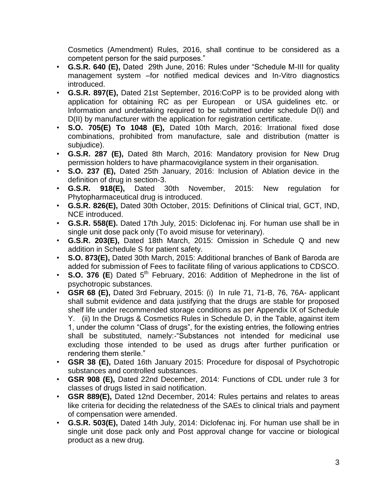Cosmetics (Amendment) Rules, 2016, shall continue to be considered as a competent person for the said purposes."

- **G.S.R. 640 (E),** Dated 29th June, 2016: Rules under "Schedule M-III for quality management system –for notified medical devices and In-Vitro diagnostics introduced.
- **G.S.R. 897(E),** Dated 21st September, 2016:CoPP is to be provided along with application for obtaining RC as per European or USA guidelines etc. or Information and undertaking required to be submitted under schedule D(I) and D(II) by manufacturer with the application for registration certificate.
- **S.O. 705(E) To 1048 (E),** Dated 10th March, 2016: Irrational fixed dose combinations, prohibited from manufacture, sale and distribution (matter is subjudice).
- **G.S.R. 287 (E),** Dated 8th March, 2016: Mandatory provision for New Drug permission holders to have pharmacovigilance system in their organisation.
- **S.O. 237 (E),** Dated 25th January, 2016: Inclusion of Ablation device in the definition of drug in section-3.
- **G.S.R. 918(E),** Dated 30th November, 2015: New regulation for Phytopharmaceutical drug is introduced.
- **G.S.R. 826(E),** Dated 30th October, 2015: Definitions of Clinical trial, GCT, IND, NCE introduced.
- **G.S.R. 558(E).** Dated 17th July, 2015: Diclofenac inj. For human use shall be in single unit dose pack only (To avoid misuse for veterinary).
- **G.S.R. 203(E),** Dated 18th March, 2015: Omission in Schedule Q and new addition in Schedule S for patient safety.
- **S.O. 873(E),** Dated 30th March, 2015: Additional branches of Bank of Baroda are added for submission of Fees to facilitate filing of various applications to CDSCO.
- **S.O. 376 (E)** Dated 5<sup>th</sup> February, 2016: Addition of Mephedrone in the list of psychotropic substances.
- **GSR 68 (E),** Dated 3rd February, 2015: (i) In rule 71, 71-B, 76, 76A- applicant shall submit evidence and data justifying that the drugs are stable for proposed shelf life under recommended storage conditions as per Appendix IX of Schedule Y. (ii) In the Drugs & Cosmetics Rules in Schedule D, in the Table, against item 1, under the column "Class of drugs", for the existing entries, the following entries shall be substituted, namely:-"Substances not intended for medicinal use excluding those intended to be used as drugs after further purification or rendering them sterile."
- **GSR 38 (E),** Dated 16th January 2015: Procedure for disposal of Psychotropic substances and controlled substances.
- **GSR 908 (E),** Dated 22nd December, 2014: Functions of CDL under rule 3 for classes of drugs listed in said notification.
- **GSR 889(E),** Dated 12nd December, 2014: Rules pertains and relates to areas like criteria for deciding the relatedness of the SAEs to clinical trials and payment of compensation were amended.
- **G.S.R. 503(E),** Dated 14th July, 2014: Diclofenac inj. For human use shall be in single unit dose pack only and Post approval change for vaccine or biological product as a new drug.